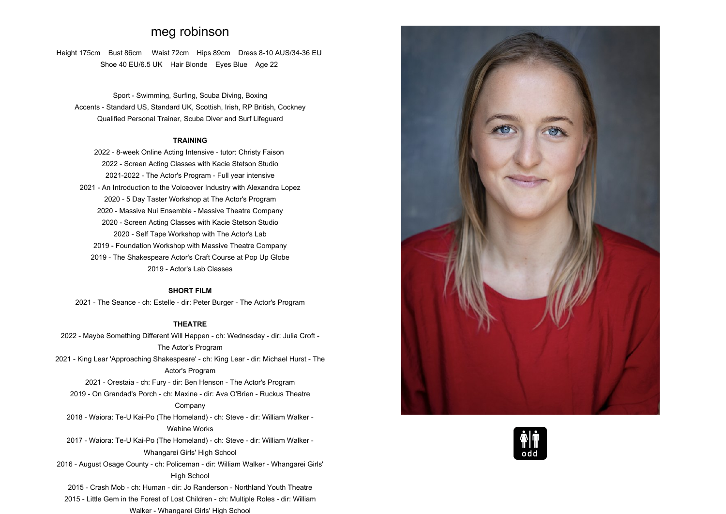# **meg robinson**

**Height 175cm Bust 86cm Waist 72cm Hips 89cm Dress 8-10 AUS/34-36 EU Shoe <sup>40</sup> EU/6.5 UK Hair Blonde Eyes Blue Age <sup>22</sup>**

**Sport - Swimming, Surfing, Scuba Diving, Boxing Accents - Standard US, Standard UK, Scottish, Irish, RP British, Cockney Qualified Personal Trainer, Scuba Diver and Surf Lifeguard**

### **TRAINING**

 **2022 - 8-week Online Acting Intensive - tutor: Christy Faison - Screen Acting Classes with Kacie Stetson Studio 2021-2022 - The Actor's Program - Full year intensive - An Introduction to the Voiceover Industry with Alexandra Lopez - <sup>5</sup> Day Taster Workshop at The Actor's Program 2020 - Massive Nui Ensemble - Massive Theatre Company - Screen Acting Classes with Kacie Stetson Studio - Self Tape Workshop with The Actor's Lab - Foundation Workshop with Massive Theatre Company - The Shakespeare Actor's Craft Course at Pop Up Globe - Actor's Lab Classes**

## **SHORT FILM**

**2021 - The Seance - ch: Estelle - dir: Peter Burger - The Actor's Program**

## **THEATRE**

**2022 - Maybe Something Different Will Happen - ch: Wednesday - dir: Julia Croft - The Actor's Program 2021 - King Lear 'Approaching Shakespeare' - ch: King Lear - dir: Michael Hurst - The Actor's Program**

 **2021 - Orestaia - ch: Fury - dir: Ben Henson - The Actor's Program2019 - On Grandad's Porch - ch: Maxine - dir: Ava O'Brien - Ruckus Theatre**

#### **Company**

**2018 - Waiora: Te-U Kai-Po (The Homeland) - ch: Steve - dir: William Walker - Wahine Works**

**2017 - Waiora: Te-U Kai-Po (The Homeland) - ch: Steve - dir: William Walker - Whangarei Girls' High School**

**2016 - August Osage County - ch: Policeman - dir: William Walker - Whangarei Girls' High School**

**2015 - Crash Mob - ch: Human - dir: Jo Randerson - Northland Youth Theatre**

**2015 - Little Gem in the Forest of Lost Children - ch: Multiple Roles - dir: William Walker - Whangarei Girls' High School**